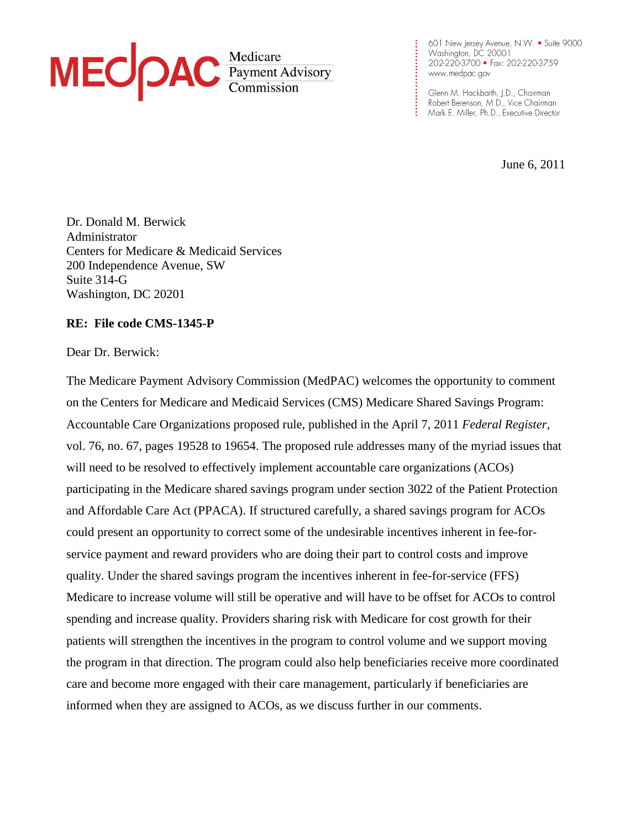

601 New Jersey Avenue, N.W. . Suite 9000 Washington, DC 20001 202-220-3700 • Fax: 202-220-3759

Glenn M. Hackbarth, J.D., Chairman Robert Berenson, M.D., Vice Chairman

**. . . . . . . . . . . . . . . . . . . . . . . . . .**

June 6, 2011

Dr. Donald M. Berwick Administrator Centers for Medicare & Medicaid Services 200 Independence Avenue, SW Suite 314-G Washington, DC 20201

### **RE: File code CMS-1345-P**

Dear Dr. Berwick:

The Medicare Payment Advisory Commission (MedPAC) welcomes the opportunity to comment on the Centers for Medicare and Medicaid Services (CMS) Medicare Shared Savings Program: Accountable Care Organizations proposed rule, published in the April 7, 2011 *Federal Register*, vol. 76, no. 67, pages 19528 to 19654. The proposed rule addresses many of the myriad issues that will need to be resolved to effectively implement accountable care organizations (ACOs) participating in the Medicare shared savings program under section 3022 of the Patient Protection and Affordable Care Act (PPACA). If structured carefully, a shared savings program for ACOs could present an opportunity to correct some of the undesirable incentives inherent in fee-forservice payment and reward providers who are doing their part to control costs and improve quality. Under the shared savings program the incentives inherent in fee-for-service (FFS) Medicare to increase volume will still be operative and will have to be offset for ACOs to control spending and increase quality. Providers sharing risk with Medicare for cost growth for their patients will strengthen the incentives in the program to control volume and we support moving the program in that direction. The program could also help beneficiaries receive more coordinated care and become more engaged with their care management, particularly if beneficiaries are informed when they are assigned to ACOs, as we discuss further in our comments.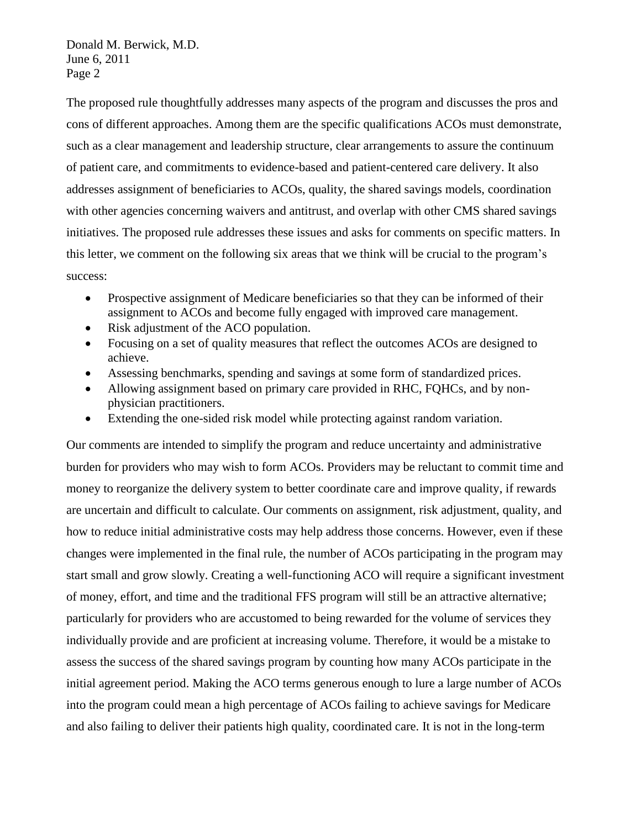The proposed rule thoughtfully addresses many aspects of the program and discusses the pros and cons of different approaches. Among them are the specific qualifications ACOs must demonstrate, such as a clear management and leadership structure, clear arrangements to assure the continuum of patient care, and commitments to evidence-based and patient-centered care delivery. It also addresses assignment of beneficiaries to ACOs, quality, the shared savings models, coordination with other agencies concerning waivers and antitrust, and overlap with other CMS shared savings initiatives. The proposed rule addresses these issues and asks for comments on specific matters. In this letter, we comment on the following six areas that we think will be crucial to the program's success:

- Prospective assignment of Medicare beneficiaries so that they can be informed of their assignment to ACOs and become fully engaged with improved care management.
- Risk adjustment of the ACO population.
- Focusing on a set of quality measures that reflect the outcomes ACOs are designed to achieve.
- Assessing benchmarks, spending and savings at some form of standardized prices.
- Allowing assignment based on primary care provided in RHC, FQHCs, and by nonphysician practitioners.
- Extending the one-sided risk model while protecting against random variation.

Our comments are intended to simplify the program and reduce uncertainty and administrative burden for providers who may wish to form ACOs. Providers may be reluctant to commit time and money to reorganize the delivery system to better coordinate care and improve quality, if rewards are uncertain and difficult to calculate. Our comments on assignment, risk adjustment, quality, and how to reduce initial administrative costs may help address those concerns. However, even if these changes were implemented in the final rule, the number of ACOs participating in the program may start small and grow slowly. Creating a well-functioning ACO will require a significant investment of money, effort, and time and the traditional FFS program will still be an attractive alternative; particularly for providers who are accustomed to being rewarded for the volume of services they individually provide and are proficient at increasing volume. Therefore, it would be a mistake to assess the success of the shared savings program by counting how many ACOs participate in the initial agreement period. Making the ACO terms generous enough to lure a large number of ACOs into the program could mean a high percentage of ACOs failing to achieve savings for Medicare and also failing to deliver their patients high quality, coordinated care. It is not in the long-term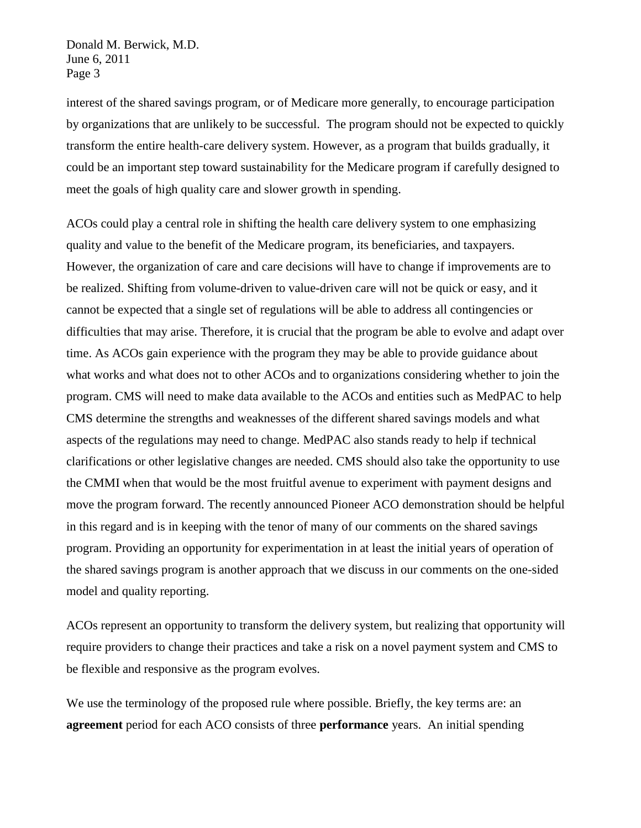interest of the shared savings program, or of Medicare more generally, to encourage participation by organizations that are unlikely to be successful. The program should not be expected to quickly transform the entire health-care delivery system. However, as a program that builds gradually, it could be an important step toward sustainability for the Medicare program if carefully designed to meet the goals of high quality care and slower growth in spending.

ACOs could play a central role in shifting the health care delivery system to one emphasizing quality and value to the benefit of the Medicare program, its beneficiaries, and taxpayers. However, the organization of care and care decisions will have to change if improvements are to be realized. Shifting from volume-driven to value-driven care will not be quick or easy, and it cannot be expected that a single set of regulations will be able to address all contingencies or difficulties that may arise. Therefore, it is crucial that the program be able to evolve and adapt over time. As ACOs gain experience with the program they may be able to provide guidance about what works and what does not to other ACOs and to organizations considering whether to join the program. CMS will need to make data available to the ACOs and entities such as MedPAC to help CMS determine the strengths and weaknesses of the different shared savings models and what aspects of the regulations may need to change. MedPAC also stands ready to help if technical clarifications or other legislative changes are needed. CMS should also take the opportunity to use the CMMI when that would be the most fruitful avenue to experiment with payment designs and move the program forward. The recently announced Pioneer ACO demonstration should be helpful in this regard and is in keeping with the tenor of many of our comments on the shared savings program. Providing an opportunity for experimentation in at least the initial years of operation of the shared savings program is another approach that we discuss in our comments on the one-sided model and quality reporting.

ACOs represent an opportunity to transform the delivery system, but realizing that opportunity will require providers to change their practices and take a risk on a novel payment system and CMS to be flexible and responsive as the program evolves.

We use the terminology of the proposed rule where possible. Briefly, the key terms are: an **agreement** period for each ACO consists of three **performance** years. An initial spending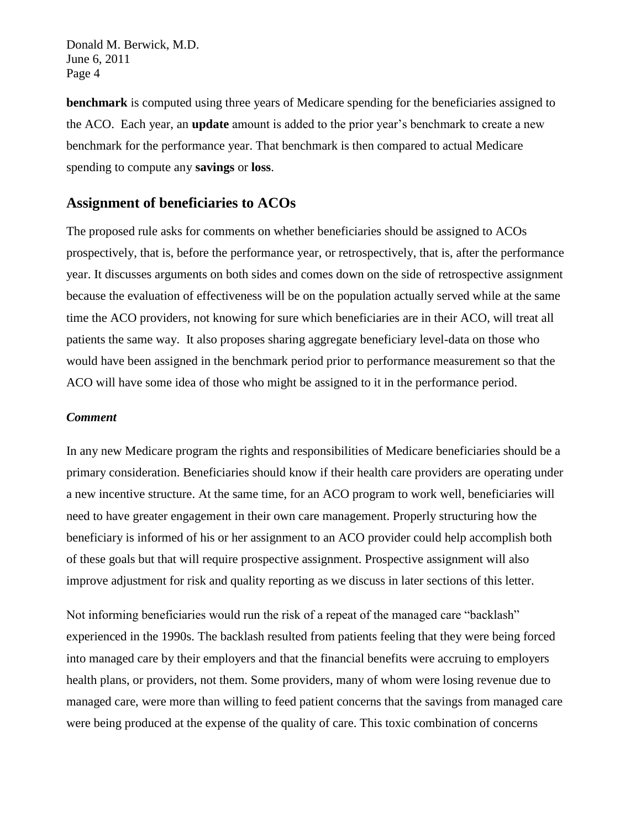**benchmark** is computed using three years of Medicare spending for the beneficiaries assigned to the ACO. Each year, an **update** amount is added to the prior year's benchmark to create a new benchmark for the performance year. That benchmark is then compared to actual Medicare spending to compute any **savings** or **loss**.

# **Assignment of beneficiaries to ACOs**

The proposed rule asks for comments on whether beneficiaries should be assigned to ACOs prospectively, that is, before the performance year, or retrospectively, that is, after the performance year. It discusses arguments on both sides and comes down on the side of retrospective assignment because the evaluation of effectiveness will be on the population actually served while at the same time the ACO providers, not knowing for sure which beneficiaries are in their ACO, will treat all patients the same way. It also proposes sharing aggregate beneficiary level-data on those who would have been assigned in the benchmark period prior to performance measurement so that the ACO will have some idea of those who might be assigned to it in the performance period.

### *Comment*

In any new Medicare program the rights and responsibilities of Medicare beneficiaries should be a primary consideration. Beneficiaries should know if their health care providers are operating under a new incentive structure. At the same time, for an ACO program to work well, beneficiaries will need to have greater engagement in their own care management. Properly structuring how the beneficiary is informed of his or her assignment to an ACO provider could help accomplish both of these goals but that will require prospective assignment. Prospective assignment will also improve adjustment for risk and quality reporting as we discuss in later sections of this letter.

Not informing beneficiaries would run the risk of a repeat of the managed care "backlash" experienced in the 1990s. The backlash resulted from patients feeling that they were being forced into managed care by their employers and that the financial benefits were accruing to employers health plans, or providers, not them. Some providers, many of whom were losing revenue due to managed care, were more than willing to feed patient concerns that the savings from managed care were being produced at the expense of the quality of care. This toxic combination of concerns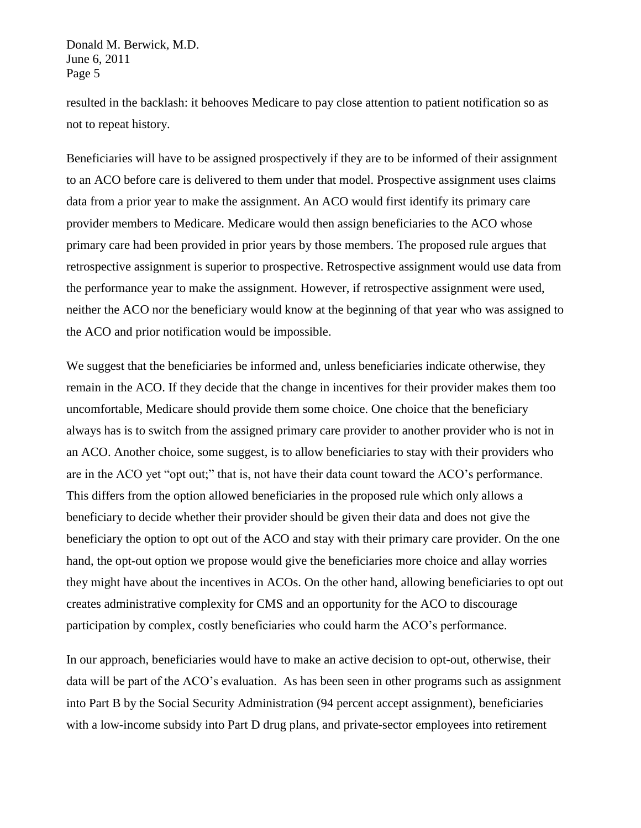resulted in the backlash: it behooves Medicare to pay close attention to patient notification so as not to repeat history.

Beneficiaries will have to be assigned prospectively if they are to be informed of their assignment to an ACO before care is delivered to them under that model. Prospective assignment uses claims data from a prior year to make the assignment. An ACO would first identify its primary care provider members to Medicare. Medicare would then assign beneficiaries to the ACO whose primary care had been provided in prior years by those members. The proposed rule argues that retrospective assignment is superior to prospective. Retrospective assignment would use data from the performance year to make the assignment. However, if retrospective assignment were used, neither the ACO nor the beneficiary would know at the beginning of that year who was assigned to the ACO and prior notification would be impossible.

We suggest that the beneficiaries be informed and, unless beneficiaries indicate otherwise, they remain in the ACO. If they decide that the change in incentives for their provider makes them too uncomfortable, Medicare should provide them some choice. One choice that the beneficiary always has is to switch from the assigned primary care provider to another provider who is not in an ACO. Another choice, some suggest, is to allow beneficiaries to stay with their providers who are in the ACO yet "opt out;" that is, not have their data count toward the ACO's performance. This differs from the option allowed beneficiaries in the proposed rule which only allows a beneficiary to decide whether their provider should be given their data and does not give the beneficiary the option to opt out of the ACO and stay with their primary care provider. On the one hand, the opt-out option we propose would give the beneficiaries more choice and allay worries they might have about the incentives in ACOs. On the other hand, allowing beneficiaries to opt out creates administrative complexity for CMS and an opportunity for the ACO to discourage participation by complex, costly beneficiaries who could harm the ACO's performance.

In our approach, beneficiaries would have to make an active decision to opt-out, otherwise, their data will be part of the ACO's evaluation. As has been seen in other programs such as assignment into Part B by the Social Security Administration (94 percent accept assignment), beneficiaries with a low-income subsidy into Part D drug plans, and private-sector employees into retirement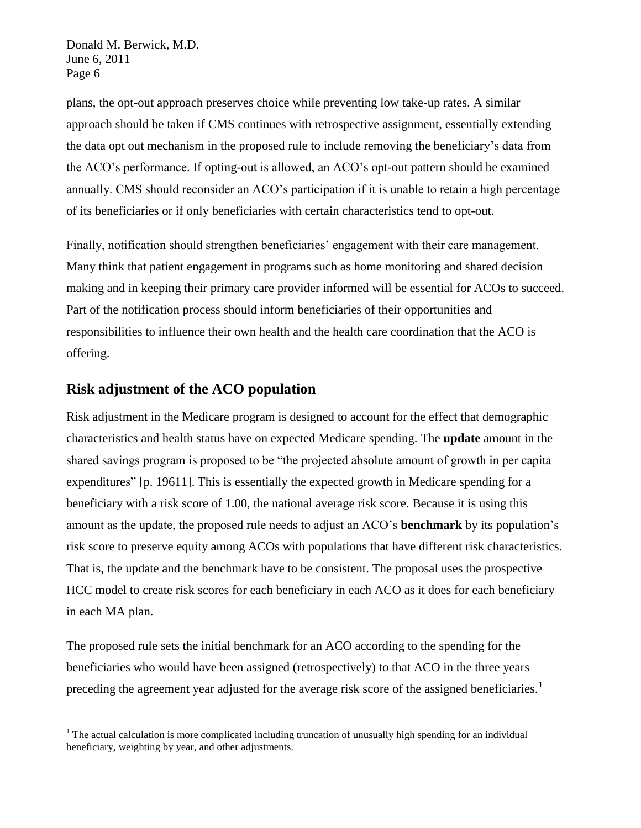plans, the opt-out approach preserves choice while preventing low take-up rates. A similar approach should be taken if CMS continues with retrospective assignment, essentially extending the data opt out mechanism in the proposed rule to include removing the beneficiary's data from the ACO's performance. If opting-out is allowed, an ACO's opt-out pattern should be examined annually. CMS should reconsider an ACO's participation if it is unable to retain a high percentage of its beneficiaries or if only beneficiaries with certain characteristics tend to opt-out.

Finally, notification should strengthen beneficiaries' engagement with their care management. Many think that patient engagement in programs such as home monitoring and shared decision making and in keeping their primary care provider informed will be essential for ACOs to succeed. Part of the notification process should inform beneficiaries of their opportunities and responsibilities to influence their own health and the health care coordination that the ACO is offering.

# **Risk adjustment of the ACO population**

<u>.</u>

Risk adjustment in the Medicare program is designed to account for the effect that demographic characteristics and health status have on expected Medicare spending. The **update** amount in the shared savings program is proposed to be "the projected absolute amount of growth in per capita" expenditures" [p. 19611]. This is essentially the expected growth in Medicare spending for a beneficiary with a risk score of 1.00, the national average risk score. Because it is using this amount as the update, the proposed rule needs to adjust an ACO's **benchmark** by its population's risk score to preserve equity among ACOs with populations that have different risk characteristics. That is, the update and the benchmark have to be consistent. The proposal uses the prospective HCC model to create risk scores for each beneficiary in each ACO as it does for each beneficiary in each MA plan.

The proposed rule sets the initial benchmark for an ACO according to the spending for the beneficiaries who would have been assigned (retrospectively) to that ACO in the three years preceding the agreement year adjusted for the average risk score of the assigned beneficiaries.<sup>1</sup>

<sup>&</sup>lt;sup>1</sup> The actual calculation is more complicated including truncation of unusually high spending for an individual beneficiary, weighting by year, and other adjustments.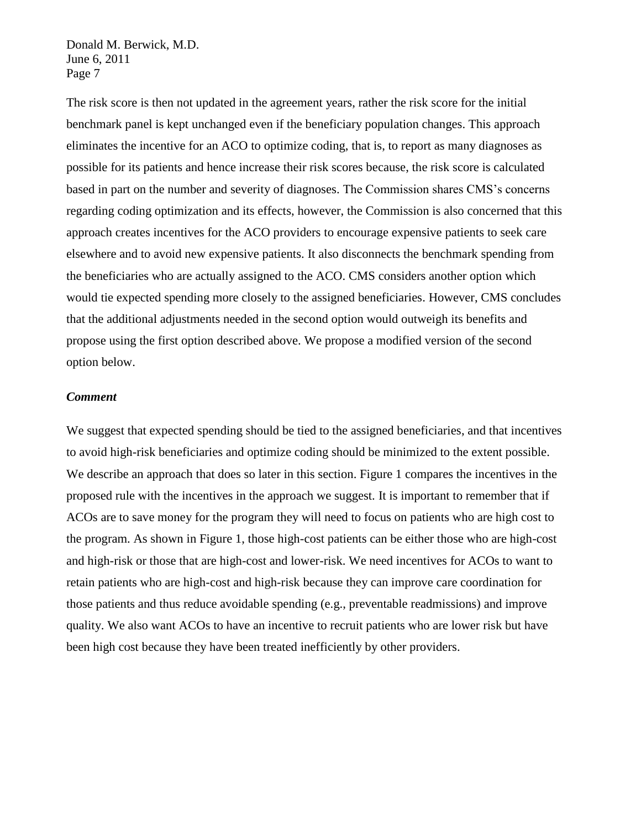The risk score is then not updated in the agreement years, rather the risk score for the initial benchmark panel is kept unchanged even if the beneficiary population changes. This approach eliminates the incentive for an ACO to optimize coding, that is, to report as many diagnoses as possible for its patients and hence increase their risk scores because, the risk score is calculated based in part on the number and severity of diagnoses. The Commission shares CMS's concerns regarding coding optimization and its effects, however, the Commission is also concerned that this approach creates incentives for the ACO providers to encourage expensive patients to seek care elsewhere and to avoid new expensive patients. It also disconnects the benchmark spending from the beneficiaries who are actually assigned to the ACO. CMS considers another option which would tie expected spending more closely to the assigned beneficiaries. However, CMS concludes that the additional adjustments needed in the second option would outweigh its benefits and propose using the first option described above. We propose a modified version of the second option below.

### *Comment*

We suggest that expected spending should be tied to the assigned beneficiaries, and that incentives to avoid high-risk beneficiaries and optimize coding should be minimized to the extent possible. We describe an approach that does so later in this section. Figure 1 compares the incentives in the proposed rule with the incentives in the approach we suggest. It is important to remember that if ACOs are to save money for the program they will need to focus on patients who are high cost to the program. As shown in Figure 1, those high-cost patients can be either those who are high-cost and high-risk or those that are high-cost and lower-risk. We need incentives for ACOs to want to retain patients who are high-cost and high-risk because they can improve care coordination for those patients and thus reduce avoidable spending (e.g., preventable readmissions) and improve quality. We also want ACOs to have an incentive to recruit patients who are lower risk but have been high cost because they have been treated inefficiently by other providers.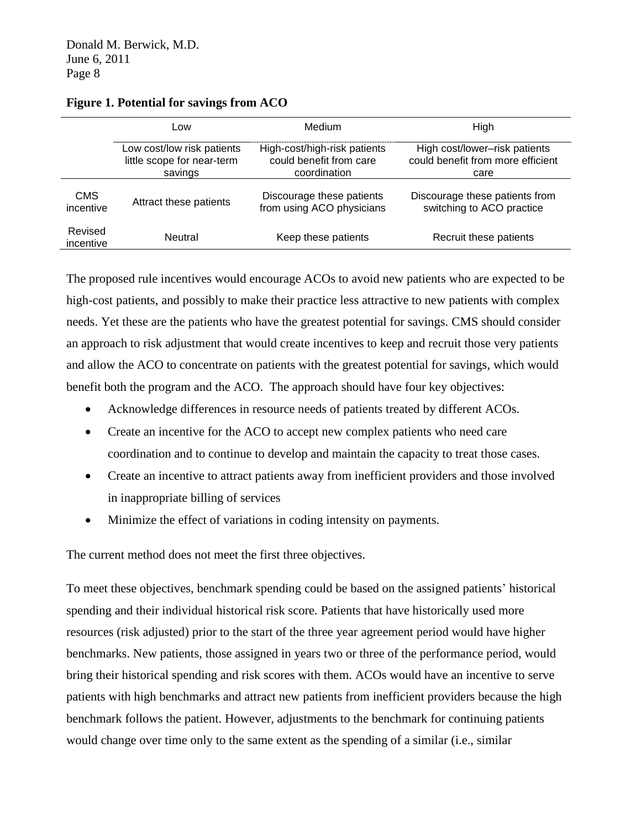|                      | Low                        | Medium                       | High                              |
|----------------------|----------------------------|------------------------------|-----------------------------------|
|                      | Low cost/low risk patients | High-cost/high-risk patients | High cost/lower-risk patients     |
|                      | little scope for near-term | could benefit from care      | could benefit from more efficient |
|                      | savings                    | coordination                 | care                              |
| <b>CMS</b>           | Attract these patients     | Discourage these patients    | Discourage these patients from    |
| incentive            |                            | from using ACO physicians    | switching to ACO practice         |
| Revised<br>incentive | <b>Neutral</b>             | Keep these patients          | Recruit these patients            |

### **Figure 1. Potential for savings from ACO**

The proposed rule incentives would encourage ACOs to avoid new patients who are expected to be high-cost patients, and possibly to make their practice less attractive to new patients with complex needs. Yet these are the patients who have the greatest potential for savings. CMS should consider an approach to risk adjustment that would create incentives to keep and recruit those very patients and allow the ACO to concentrate on patients with the greatest potential for savings, which would benefit both the program and the ACO. The approach should have four key objectives:

- Acknowledge differences in resource needs of patients treated by different ACOs.
- Create an incentive for the ACO to accept new complex patients who need care coordination and to continue to develop and maintain the capacity to treat those cases.
- Create an incentive to attract patients away from inefficient providers and those involved in inappropriate billing of services
- Minimize the effect of variations in coding intensity on payments.

The current method does not meet the first three objectives.

To meet these objectives, benchmark spending could be based on the assigned patients' historical spending and their individual historical risk score. Patients that have historically used more resources (risk adjusted) prior to the start of the three year agreement period would have higher benchmarks. New patients, those assigned in years two or three of the performance period, would bring their historical spending and risk scores with them. ACOs would have an incentive to serve patients with high benchmarks and attract new patients from inefficient providers because the high benchmark follows the patient. However, adjustments to the benchmark for continuing patients would change over time only to the same extent as the spending of a similar (i.e., similar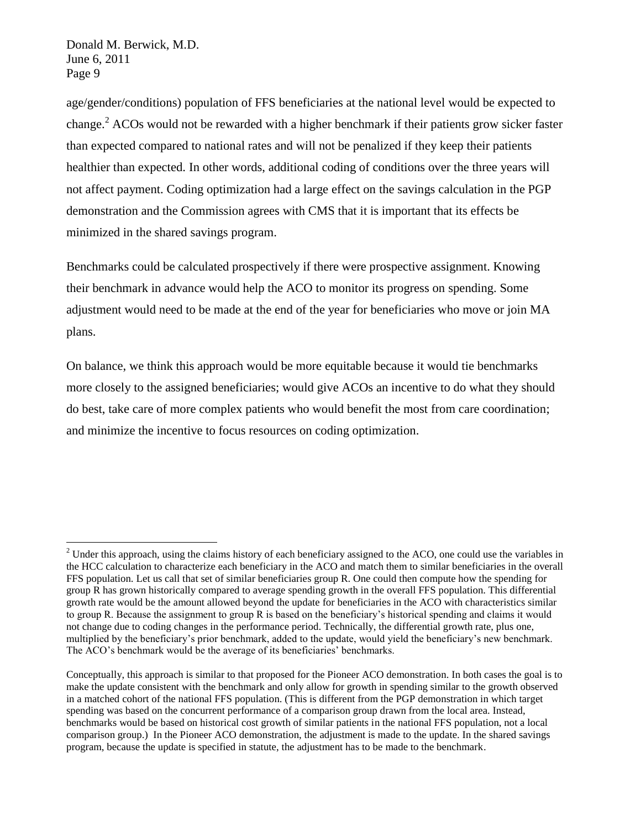<u>.</u>

age/gender/conditions) population of FFS beneficiaries at the national level would be expected to change. <sup>2</sup> ACOs would not be rewarded with a higher benchmark if their patients grow sicker faster than expected compared to national rates and will not be penalized if they keep their patients healthier than expected. In other words, additional coding of conditions over the three years will not affect payment. Coding optimization had a large effect on the savings calculation in the PGP demonstration and the Commission agrees with CMS that it is important that its effects be minimized in the shared savings program.

Benchmarks could be calculated prospectively if there were prospective assignment. Knowing their benchmark in advance would help the ACO to monitor its progress on spending. Some adjustment would need to be made at the end of the year for beneficiaries who move or join MA plans.

On balance, we think this approach would be more equitable because it would tie benchmarks more closely to the assigned beneficiaries; would give ACOs an incentive to do what they should do best, take care of more complex patients who would benefit the most from care coordination; and minimize the incentive to focus resources on coding optimization.

 $2$  Under this approach, using the claims history of each beneficiary assigned to the ACO, one could use the variables in the HCC calculation to characterize each beneficiary in the ACO and match them to similar beneficiaries in the overall FFS population. Let us call that set of similar beneficiaries group R. One could then compute how the spending for group R has grown historically compared to average spending growth in the overall FFS population. This differential growth rate would be the amount allowed beyond the update for beneficiaries in the ACO with characteristics similar to group R. Because the assignment to group R is based on the beneficiary's historical spending and claims it would not change due to coding changes in the performance period. Technically, the differential growth rate, plus one, multiplied by the beneficiary's prior benchmark, added to the update, would yield the beneficiary's new benchmark. The ACO's benchmark would be the average of its beneficiaries' benchmarks.

Conceptually, this approach is similar to that proposed for the Pioneer ACO demonstration. In both cases the goal is to make the update consistent with the benchmark and only allow for growth in spending similar to the growth observed in a matched cohort of the national FFS population. (This is different from the PGP demonstration in which target spending was based on the concurrent performance of a comparison group drawn from the local area. Instead, benchmarks would be based on historical cost growth of similar patients in the national FFS population, not a local comparison group.) In the Pioneer ACO demonstration, the adjustment is made to the update. In the shared savings program, because the update is specified in statute, the adjustment has to be made to the benchmark.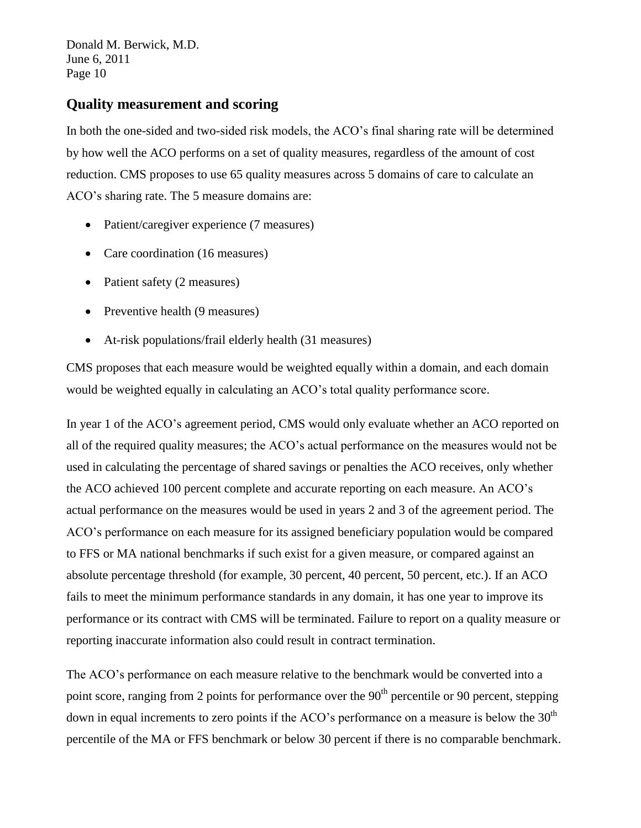## **Quality measurement and scoring**

In both the one-sided and two-sided risk models, the ACO's final sharing rate will be determined by how well the ACO performs on a set of quality measures, regardless of the amount of cost reduction. CMS proposes to use 65 quality measures across 5 domains of care to calculate an ACO's sharing rate. The 5 measure domains are:

- Patient/caregiver experience (7 measures)
- Care coordination (16 measures)
- Patient safety (2 measures)
- Preventive health (9 measures)
- At-risk populations/frail elderly health (31 measures)

CMS proposes that each measure would be weighted equally within a domain, and each domain would be weighted equally in calculating an ACO's total quality performance score.

In year 1 of the ACO's agreement period, CMS would only evaluate whether an ACO reported on all of the required quality measures; the ACO's actual performance on the measures would not be used in calculating the percentage of shared savings or penalties the ACO receives, only whether the ACO achieved 100 percent complete and accurate reporting on each measure. An ACO's actual performance on the measures would be used in years 2 and 3 of the agreement period. The ACO's performance on each measure for its assigned beneficiary population would be compared to FFS or MA national benchmarks if such exist for a given measure, or compared against an absolute percentage threshold (for example, 30 percent, 40 percent, 50 percent, etc.). If an ACO fails to meet the minimum performance standards in any domain, it has one year to improve its performance or its contract with CMS will be terminated. Failure to report on a quality measure or reporting inaccurate information also could result in contract termination.

The ACO's performance on each measure relative to the benchmark would be converted into a point score, ranging from 2 points for performance over the 90<sup>th</sup> percentile or 90 percent, stepping down in equal increments to zero points if the ACO's performance on a measure is below the  $30<sup>th</sup>$ percentile of the MA or FFS benchmark or below 30 percent if there is no comparable benchmark.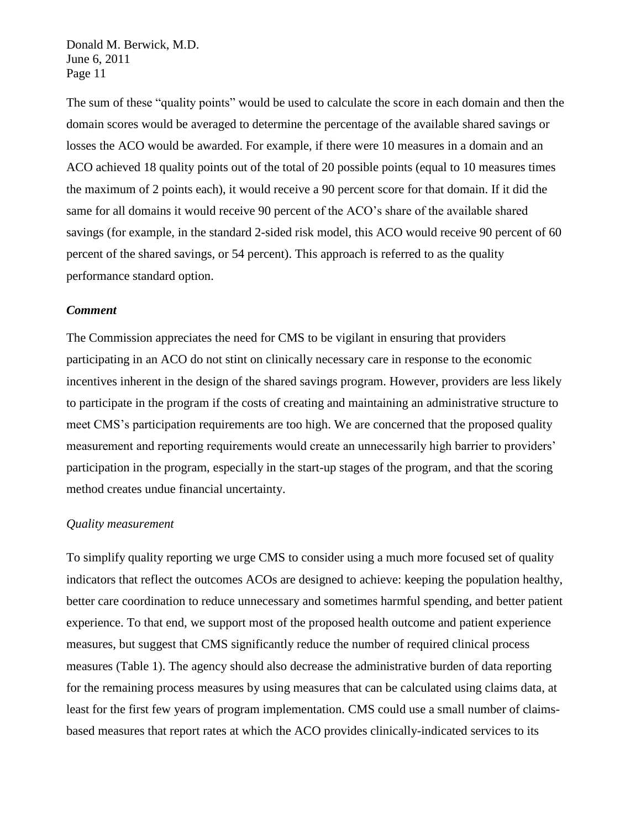The sum of these "quality points" would be used to calculate the score in each domain and then the domain scores would be averaged to determine the percentage of the available shared savings or losses the ACO would be awarded. For example, if there were 10 measures in a domain and an ACO achieved 18 quality points out of the total of 20 possible points (equal to 10 measures times the maximum of 2 points each), it would receive a 90 percent score for that domain. If it did the same for all domains it would receive 90 percent of the ACO's share of the available shared savings (for example, in the standard 2-sided risk model, this ACO would receive 90 percent of 60 percent of the shared savings, or 54 percent). This approach is referred to as the quality performance standard option.

#### *Comment*

The Commission appreciates the need for CMS to be vigilant in ensuring that providers participating in an ACO do not stint on clinically necessary care in response to the economic incentives inherent in the design of the shared savings program. However, providers are less likely to participate in the program if the costs of creating and maintaining an administrative structure to meet CMS's participation requirements are too high. We are concerned that the proposed quality measurement and reporting requirements would create an unnecessarily high barrier to providers' participation in the program, especially in the start-up stages of the program, and that the scoring method creates undue financial uncertainty.

#### *Quality measurement*

To simplify quality reporting we urge CMS to consider using a much more focused set of quality indicators that reflect the outcomes ACOs are designed to achieve: keeping the population healthy, better care coordination to reduce unnecessary and sometimes harmful spending, and better patient experience. To that end, we support most of the proposed health outcome and patient experience measures, but suggest that CMS significantly reduce the number of required clinical process measures (Table 1). The agency should also decrease the administrative burden of data reporting for the remaining process measures by using measures that can be calculated using claims data, at least for the first few years of program implementation. CMS could use a small number of claimsbased measures that report rates at which the ACO provides clinically-indicated services to its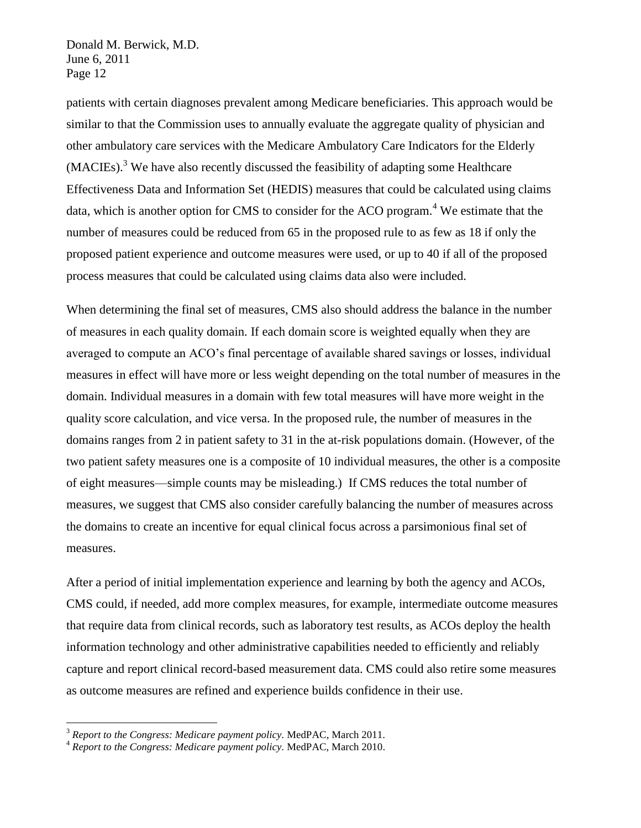patients with certain diagnoses prevalent among Medicare beneficiaries. This approach would be similar to that the Commission uses to annually evaluate the aggregate quality of physician and other ambulatory care services with the Medicare Ambulatory Care Indicators for the Elderly  $(MACIES).$ <sup>3</sup> We have also recently discussed the feasibility of adapting some Healthcare Effectiveness Data and Information Set (HEDIS) measures that could be calculated using claims data, which is another option for CMS to consider for the ACO program.<sup>4</sup> We estimate that the number of measures could be reduced from 65 in the proposed rule to as few as 18 if only the proposed patient experience and outcome measures were used, or up to 40 if all of the proposed process measures that could be calculated using claims data also were included.

When determining the final set of measures, CMS also should address the balance in the number of measures in each quality domain. If each domain score is weighted equally when they are averaged to compute an ACO's final percentage of available shared savings or losses, individual measures in effect will have more or less weight depending on the total number of measures in the domain. Individual measures in a domain with few total measures will have more weight in the quality score calculation, and vice versa. In the proposed rule, the number of measures in the domains ranges from 2 in patient safety to 31 in the at-risk populations domain. (However, of the two patient safety measures one is a composite of 10 individual measures, the other is a composite of eight measures—simple counts may be misleading.) If CMS reduces the total number of measures, we suggest that CMS also consider carefully balancing the number of measures across the domains to create an incentive for equal clinical focus across a parsimonious final set of measures.

After a period of initial implementation experience and learning by both the agency and ACOs, CMS could, if needed, add more complex measures, for example, intermediate outcome measures that require data from clinical records, such as laboratory test results, as ACOs deploy the health information technology and other administrative capabilities needed to efficiently and reliably capture and report clinical record-based measurement data. CMS could also retire some measures as outcome measures are refined and experience builds confidence in their use.

<u>.</u>

<sup>3</sup> *Report to the Congress: Medicare payment policy.* MedPAC, March 2011.

<sup>4</sup> *Report to the Congress: Medicare payment policy.* MedPAC, March 2010.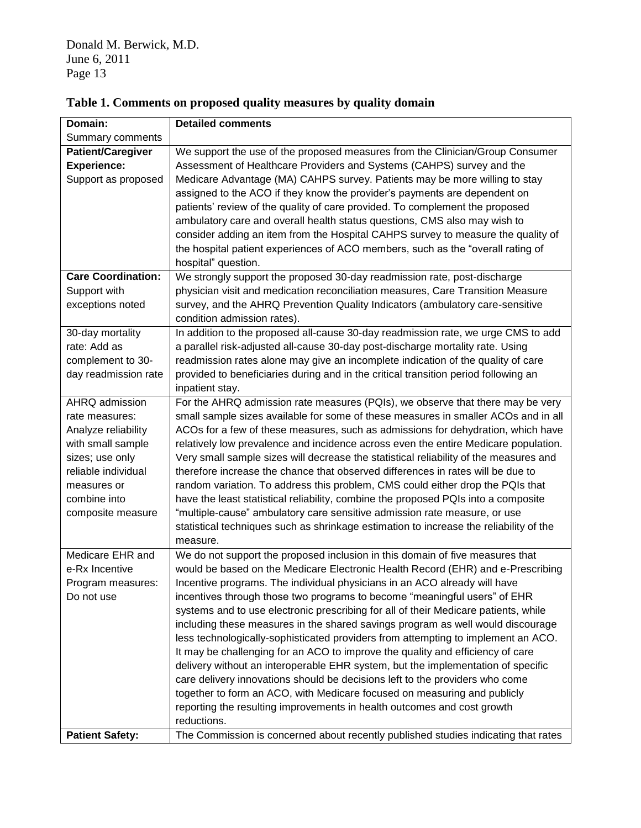| Domain:                   | <b>Detailed comments</b>                                                               |
|---------------------------|----------------------------------------------------------------------------------------|
| Summary comments          |                                                                                        |
| <b>Patient/Caregiver</b>  | We support the use of the proposed measures from the Clinician/Group Consumer          |
| <b>Experience:</b>        | Assessment of Healthcare Providers and Systems (CAHPS) survey and the                  |
| Support as proposed       | Medicare Advantage (MA) CAHPS survey. Patients may be more willing to stay             |
|                           | assigned to the ACO if they know the provider's payments are dependent on              |
|                           | patients' review of the quality of care provided. To complement the proposed           |
|                           | ambulatory care and overall health status questions, CMS also may wish to              |
|                           | consider adding an item from the Hospital CAHPS survey to measure the quality of       |
|                           | the hospital patient experiences of ACO members, such as the "overall rating of        |
|                           | hospital" question.                                                                    |
| <b>Care Coordination:</b> | We strongly support the proposed 30-day readmission rate, post-discharge               |
| Support with              | physician visit and medication reconciliation measures, Care Transition Measure        |
| exceptions noted          | survey, and the AHRQ Prevention Quality Indicators (ambulatory care-sensitive          |
|                           | condition admission rates).                                                            |
| 30-day mortality          | In addition to the proposed all-cause 30-day readmission rate, we urge CMS to add      |
| rate: Add as              | a parallel risk-adjusted all-cause 30-day post-discharge mortality rate. Using         |
| complement to 30-         | readmission rates alone may give an incomplete indication of the quality of care       |
| day readmission rate      | provided to beneficiaries during and in the critical transition period following an    |
|                           | inpatient stay.                                                                        |
| AHRQ admission            | For the AHRQ admission rate measures (PQIs), we observe that there may be very         |
| rate measures:            | small sample sizes available for some of these measures in smaller ACOs and in all     |
| Analyze reliability       | ACOs for a few of these measures, such as admissions for dehydration, which have       |
| with small sample         | relatively low prevalence and incidence across even the entire Medicare population.    |
| sizes; use only           | Very small sample sizes will decrease the statistical reliability of the measures and  |
| reliable individual       | therefore increase the chance that observed differences in rates will be due to        |
| measures or               | random variation. To address this problem, CMS could either drop the PQIs that         |
| combine into              | have the least statistical reliability, combine the proposed PQIs into a composite     |
| composite measure         | "multiple-cause" ambulatory care sensitive admission rate measure, or use              |
|                           | statistical techniques such as shrinkage estimation to increase the reliability of the |
|                           | measure.                                                                               |
| Medicare EHR and          | We do not support the proposed inclusion in this domain of five measures that          |
| e-Rx Incentive            | would be based on the Medicare Electronic Health Record (EHR) and e-Prescribing        |
| Program measures:         | Incentive programs. The individual physicians in an ACO already will have              |
| Do not use                | incentives through those two programs to become "meaningful users" of EHR              |
|                           | systems and to use electronic prescribing for all of their Medicare patients, while    |
|                           | including these measures in the shared savings program as well would discourage        |
|                           | less technologically-sophisticated providers from attempting to implement an ACO.      |
|                           | It may be challenging for an ACO to improve the quality and efficiency of care         |
|                           | delivery without an interoperable EHR system, but the implementation of specific       |
|                           | care delivery innovations should be decisions left to the providers who come           |
|                           | together to form an ACO, with Medicare focused on measuring and publicly               |
|                           | reporting the resulting improvements in health outcomes and cost growth                |
|                           | reductions.                                                                            |
| <b>Patient Safety:</b>    | The Commission is concerned about recently published studies indicating that rates     |

**Table 1. Comments on proposed quality measures by quality domain**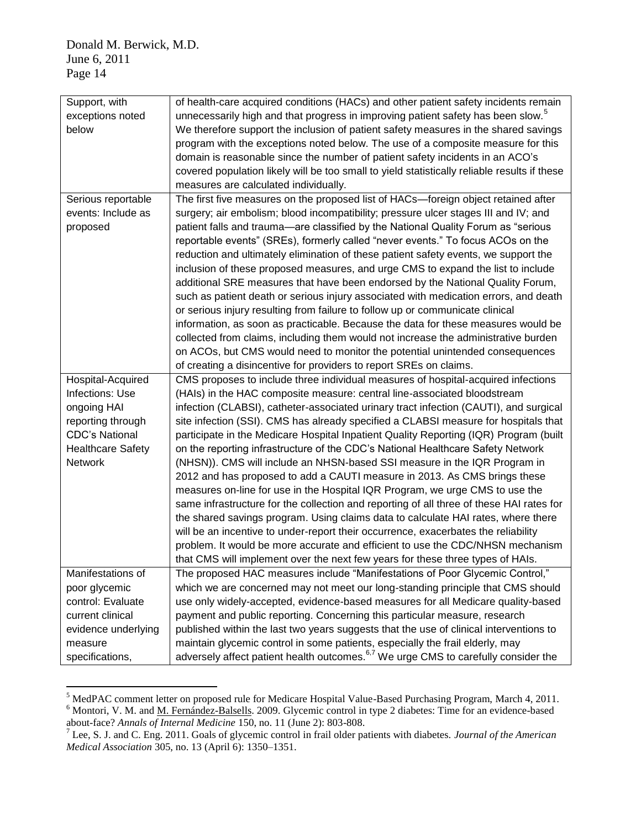| Support, with            | of health-care acquired conditions (HACs) and other patient safety incidents remain            |
|--------------------------|------------------------------------------------------------------------------------------------|
| exceptions noted         | unnecessarily high and that progress in improving patient safety has been slow. <sup>5</sup>   |
| below                    | We therefore support the inclusion of patient safety measures in the shared savings            |
|                          | program with the exceptions noted below. The use of a composite measure for this               |
|                          | domain is reasonable since the number of patient safety incidents in an ACO's                  |
|                          | covered population likely will be too small to yield statistically reliable results if these   |
|                          | measures are calculated individually.                                                          |
| Serious reportable       | The first five measures on the proposed list of HACs—foreign object retained after             |
| events: Include as       | surgery; air embolism; blood incompatibility; pressure ulcer stages III and IV; and            |
| proposed                 | patient falls and trauma—are classified by the National Quality Forum as "serious              |
|                          | reportable events" (SREs), formerly called "never events." To focus ACOs on the                |
|                          | reduction and ultimately elimination of these patient safety events, we support the            |
|                          | inclusion of these proposed measures, and urge CMS to expand the list to include               |
|                          | additional SRE measures that have been endorsed by the National Quality Forum,                 |
|                          | such as patient death or serious injury associated with medication errors, and death           |
|                          | or serious injury resulting from failure to follow up or communicate clinical                  |
|                          | information, as soon as practicable. Because the data for these measures would be              |
|                          | collected from claims, including them would not increase the administrative burden             |
|                          | on ACOs, but CMS would need to monitor the potential unintended consequences                   |
|                          | of creating a disincentive for providers to report SREs on claims.                             |
| Hospital-Acquired        | CMS proposes to include three individual measures of hospital-acquired infections              |
| Infections: Use          | (HAIs) in the HAC composite measure: central line-associated bloodstream                       |
| ongoing HAI              | infection (CLABSI), catheter-associated urinary tract infection (CAUTI), and surgical          |
| reporting through        | site infection (SSI). CMS has already specified a CLABSI measure for hospitals that            |
| <b>CDC's National</b>    | participate in the Medicare Hospital Inpatient Quality Reporting (IQR) Program (built          |
| <b>Healthcare Safety</b> | on the reporting infrastructure of the CDC's National Healthcare Safety Network                |
| <b>Network</b>           | (NHSN)). CMS will include an NHSN-based SSI measure in the IQR Program in                      |
|                          | 2012 and has proposed to add a CAUTI measure in 2013. As CMS brings these                      |
|                          | measures on-line for use in the Hospital IQR Program, we urge CMS to use the                   |
|                          | same infrastructure for the collection and reporting of all three of these HAI rates for       |
|                          | the shared savings program. Using claims data to calculate HAI rates, where there              |
|                          | will be an incentive to under-report their occurrence, exacerbates the reliability             |
|                          | problem. It would be more accurate and efficient to use the CDC/NHSN mechanism                 |
|                          | that CMS will implement over the next few years for these three types of HAIs.                 |
| Manifestations of        | The proposed HAC measures include "Manifestations of Poor Glycemic Control,"                   |
| poor glycemic            | which we are concerned may not meet our long-standing principle that CMS should                |
| control: Evaluate        | use only widely-accepted, evidence-based measures for all Medicare quality-based               |
| current clinical         | payment and public reporting. Concerning this particular measure, research                     |
| evidence underlying      | published within the last two years suggests that the use of clinical interventions to         |
| measure                  | maintain glycemic control in some patients, especially the frail elderly, may                  |
| specifications,          | adversely affect patient health outcomes. <sup>6,7</sup> We urge CMS to carefully consider the |
|                          |                                                                                                |

<sup>&</sup>lt;u>.</u> <sup>5</sup> MedPAC comment letter on proposed rule for Medicare Hospital Value-Based Purchasing Program, March 4, 2011. <sup>6</sup> Montori, V. M. and <u>M. Fernández-Balsells</u>. 2009. Glycemic control in type 2 diabetes: Time for an evidence-based about-face? *Annals of Internal Medicine* 150, no. 11 (June 2): 803-808.

<sup>7</sup> Lee, S. J. and C. Eng. 2011. Goals of glycemic control in frail older patients with diabetes. *Journal of the American Medical Association* 305, no. 13 (April 6): 1350–1351.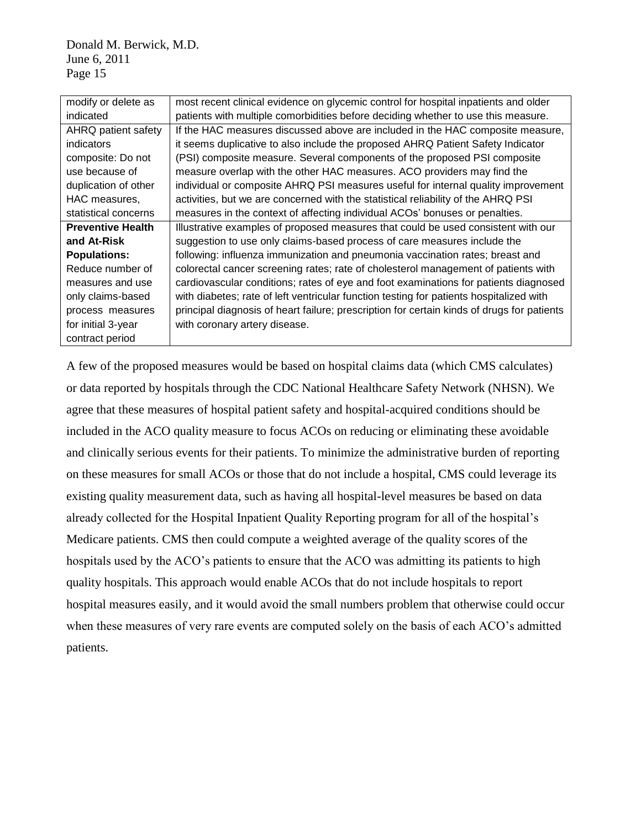| modify or delete as      | most recent clinical evidence on glycemic control for hospital inpatients and older        |
|--------------------------|--------------------------------------------------------------------------------------------|
| indicated                | patients with multiple comorbidities before deciding whether to use this measure.          |
| AHRQ patient safety      | If the HAC measures discussed above are included in the HAC composite measure,             |
| <i>indicators</i>        | it seems duplicative to also include the proposed AHRQ Patient Safety Indicator            |
| composite: Do not        | (PSI) composite measure. Several components of the proposed PSI composite                  |
| use because of           | measure overlap with the other HAC measures. ACO providers may find the                    |
| duplication of other     | individual or composite AHRQ PSI measures useful for internal quality improvement          |
| HAC measures,            | activities, but we are concerned with the statistical reliability of the AHRQ PSI          |
| statistical concerns     | measures in the context of affecting individual ACOs' bonuses or penalties.                |
| <b>Preventive Health</b> | Illustrative examples of proposed measures that could be used consistent with our          |
| and At-Risk              | suggestion to use only claims-based process of care measures include the                   |
| <b>Populations:</b>      | following: influenza immunization and pneumonia vaccination rates; breast and              |
| Reduce number of         | colorectal cancer screening rates; rate of cholesterol management of patients with         |
| measures and use         | cardiovascular conditions; rates of eye and foot examinations for patients diagnosed       |
| only claims-based        | with diabetes; rate of left ventricular function testing for patients hospitalized with    |
| process measures         | principal diagnosis of heart failure; prescription for certain kinds of drugs for patients |
| for initial 3-year       | with coronary artery disease.                                                              |
| contract period          |                                                                                            |

A few of the proposed measures would be based on hospital claims data (which CMS calculates) or data reported by hospitals through the CDC National Healthcare Safety Network (NHSN). We agree that these measures of hospital patient safety and hospital-acquired conditions should be included in the ACO quality measure to focus ACOs on reducing or eliminating these avoidable and clinically serious events for their patients. To minimize the administrative burden of reporting on these measures for small ACOs or those that do not include a hospital, CMS could leverage its existing quality measurement data, such as having all hospital-level measures be based on data already collected for the Hospital Inpatient Quality Reporting program for all of the hospital's Medicare patients. CMS then could compute a weighted average of the quality scores of the hospitals used by the ACO's patients to ensure that the ACO was admitting its patients to high quality hospitals. This approach would enable ACOs that do not include hospitals to report hospital measures easily, and it would avoid the small numbers problem that otherwise could occur when these measures of very rare events are computed solely on the basis of each ACO's admitted patients.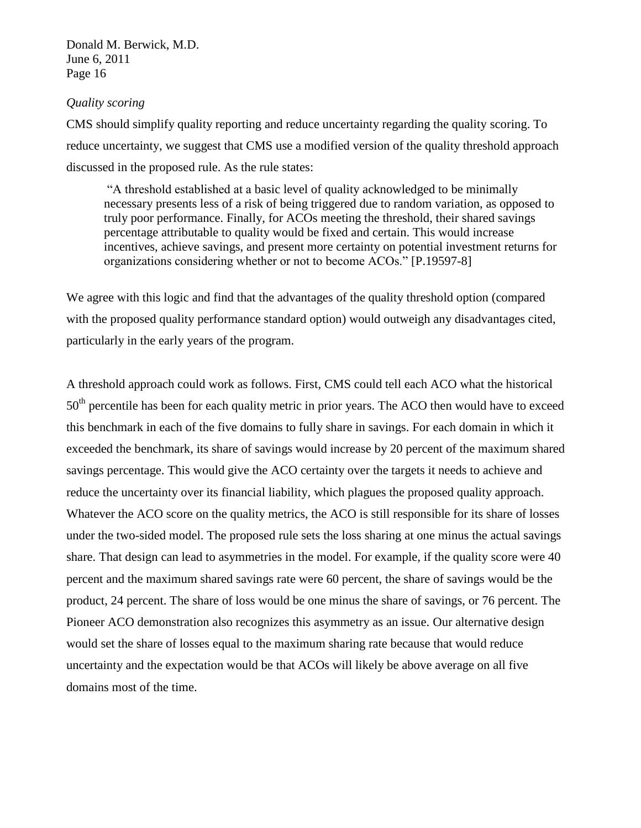### *Quality scoring*

CMS should simplify quality reporting and reduce uncertainty regarding the quality scoring. To reduce uncertainty, we suggest that CMS use a modified version of the quality threshold approach discussed in the proposed rule. As the rule states:

―A threshold established at a basic level of quality acknowledged to be minimally necessary presents less of a risk of being triggered due to random variation, as opposed to truly poor performance. Finally, for ACOs meeting the threshold, their shared savings percentage attributable to quality would be fixed and certain. This would increase incentives, achieve savings, and present more certainty on potential investment returns for organizations considering whether or not to become ACOs." [P.19597-8]

We agree with this logic and find that the advantages of the quality threshold option (compared with the proposed quality performance standard option) would outweigh any disadvantages cited, particularly in the early years of the program.

A threshold approach could work as follows. First, CMS could tell each ACO what the historical 50<sup>th</sup> percentile has been for each quality metric in prior years. The ACO then would have to exceed this benchmark in each of the five domains to fully share in savings. For each domain in which it exceeded the benchmark, its share of savings would increase by 20 percent of the maximum shared savings percentage. This would give the ACO certainty over the targets it needs to achieve and reduce the uncertainty over its financial liability, which plagues the proposed quality approach. Whatever the ACO score on the quality metrics, the ACO is still responsible for its share of losses under the two-sided model. The proposed rule sets the loss sharing at one minus the actual savings share. That design can lead to asymmetries in the model. For example, if the quality score were 40 percent and the maximum shared savings rate were 60 percent, the share of savings would be the product, 24 percent. The share of loss would be one minus the share of savings, or 76 percent. The Pioneer ACO demonstration also recognizes this asymmetry as an issue. Our alternative design would set the share of losses equal to the maximum sharing rate because that would reduce uncertainty and the expectation would be that ACOs will likely be above average on all five domains most of the time.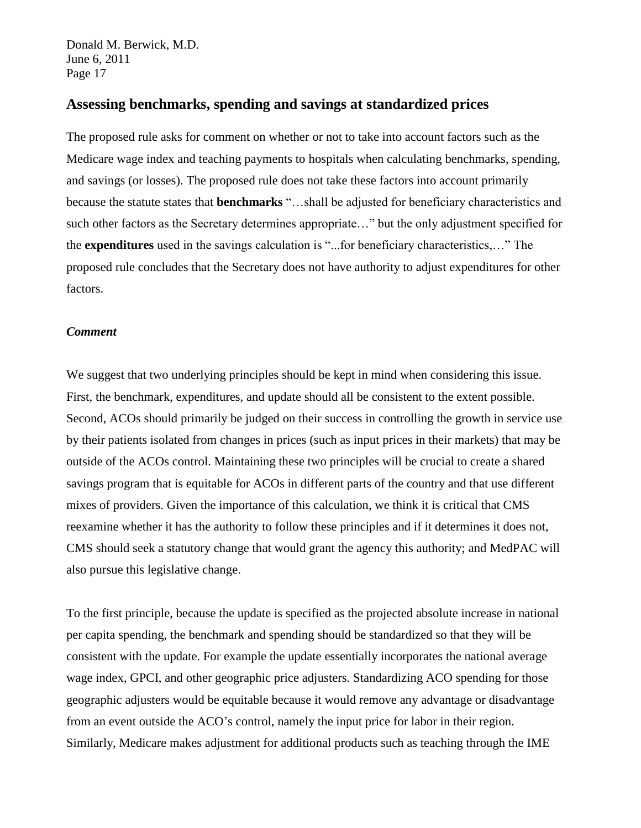## **Assessing benchmarks, spending and savings at standardized prices**

The proposed rule asks for comment on whether or not to take into account factors such as the Medicare wage index and teaching payments to hospitals when calculating benchmarks, spending, and savings (or losses). The proposed rule does not take these factors into account primarily because the statute states that **benchmarks** "...shall be adjusted for beneficiary characteristics and such other factors as the Secretary determines appropriate..." but the only adjustment specified for the **expenditures** used in the savings calculation is "...for beneficiary characteristics,..." The proposed rule concludes that the Secretary does not have authority to adjust expenditures for other factors.

#### *Comment*

We suggest that two underlying principles should be kept in mind when considering this issue. First, the benchmark, expenditures, and update should all be consistent to the extent possible. Second, ACOs should primarily be judged on their success in controlling the growth in service use by their patients isolated from changes in prices (such as input prices in their markets) that may be outside of the ACOs control. Maintaining these two principles will be crucial to create a shared savings program that is equitable for ACOs in different parts of the country and that use different mixes of providers. Given the importance of this calculation, we think it is critical that CMS reexamine whether it has the authority to follow these principles and if it determines it does not, CMS should seek a statutory change that would grant the agency this authority; and MedPAC will also pursue this legislative change.

To the first principle, because the update is specified as the projected absolute increase in national per capita spending, the benchmark and spending should be standardized so that they will be consistent with the update. For example the update essentially incorporates the national average wage index, GPCI, and other geographic price adjusters. Standardizing ACO spending for those geographic adjusters would be equitable because it would remove any advantage or disadvantage from an event outside the ACO's control, namely the input price for labor in their region. Similarly, Medicare makes adjustment for additional products such as teaching through the IME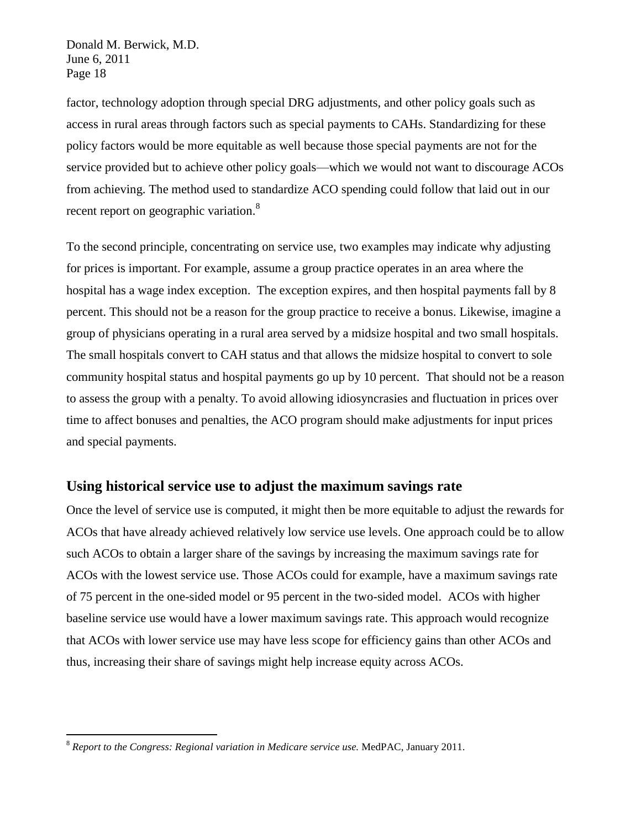factor, technology adoption through special DRG adjustments, and other policy goals such as access in rural areas through factors such as special payments to CAHs. Standardizing for these policy factors would be more equitable as well because those special payments are not for the service provided but to achieve other policy goals—which we would not want to discourage ACOs from achieving. The method used to standardize ACO spending could follow that laid out in our recent report on geographic variation.<sup>8</sup>

To the second principle, concentrating on service use, two examples may indicate why adjusting for prices is important. For example, assume a group practice operates in an area where the hospital has a wage index exception. The exception expires, and then hospital payments fall by 8 percent. This should not be a reason for the group practice to receive a bonus. Likewise, imagine a group of physicians operating in a rural area served by a midsize hospital and two small hospitals. The small hospitals convert to CAH status and that allows the midsize hospital to convert to sole community hospital status and hospital payments go up by 10 percent. That should not be a reason to assess the group with a penalty. To avoid allowing idiosyncrasies and fluctuation in prices over time to affect bonuses and penalties, the ACO program should make adjustments for input prices and special payments.

## **Using historical service use to adjust the maximum savings rate**

Once the level of service use is computed, it might then be more equitable to adjust the rewards for ACOs that have already achieved relatively low service use levels. One approach could be to allow such ACOs to obtain a larger share of the savings by increasing the maximum savings rate for ACOs with the lowest service use. Those ACOs could for example, have a maximum savings rate of 75 percent in the one-sided model or 95 percent in the two-sided model. ACOs with higher baseline service use would have a lower maximum savings rate. This approach would recognize that ACOs with lower service use may have less scope for efficiency gains than other ACOs and thus, increasing their share of savings might help increase equity across ACOs.

1

<sup>8</sup> *Report to the Congress: Regional variation in Medicare service use.* MedPAC, January 2011.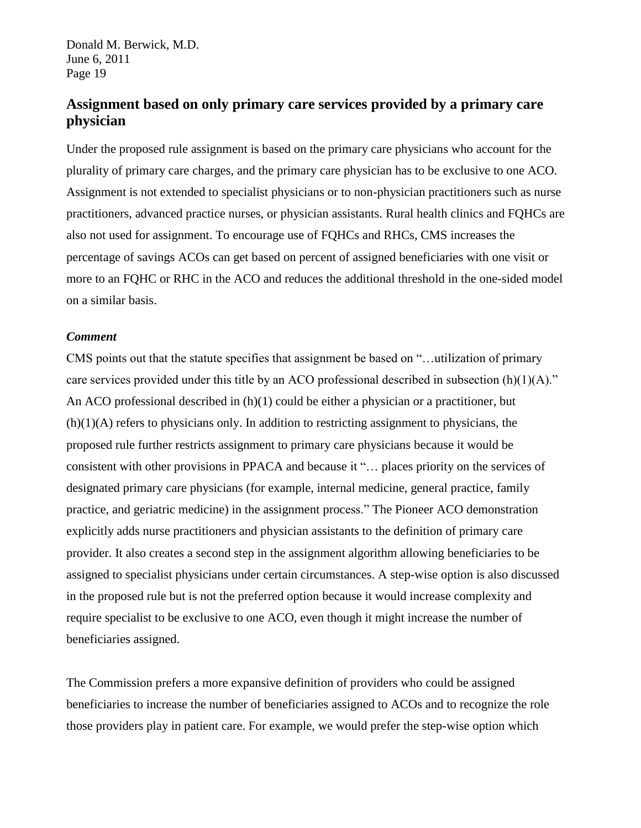# **Assignment based on only primary care services provided by a primary care physician**

Under the proposed rule assignment is based on the primary care physicians who account for the plurality of primary care charges, and the primary care physician has to be exclusive to one ACO. Assignment is not extended to specialist physicians or to non-physician practitioners such as nurse practitioners, advanced practice nurses, or physician assistants. Rural health clinics and FQHCs are also not used for assignment. To encourage use of FQHCs and RHCs, CMS increases the percentage of savings ACOs can get based on percent of assigned beneficiaries with one visit or more to an FQHC or RHC in the ACO and reduces the additional threshold in the one-sided model on a similar basis.

#### *Comment*

CMS points out that the statute specifies that assignment be based on "...utilization of primary care services provided under this title by an ACO professional described in subsection  $(h)(1)(A)$ ." An ACO professional described in (h)(1) could be either a physician or a practitioner, but  $(h)(1)(A)$  refers to physicians only. In addition to restricting assignment to physicians, the proposed rule further restricts assignment to primary care physicians because it would be consistent with other provisions in PPACA and because it "... places priority on the services of designated primary care physicians (for example, internal medicine, general practice, family practice, and geriatric medicine) in the assignment process." The Pioneer ACO demonstration explicitly adds nurse practitioners and physician assistants to the definition of primary care provider. It also creates a second step in the assignment algorithm allowing beneficiaries to be assigned to specialist physicians under certain circumstances. A step-wise option is also discussed in the proposed rule but is not the preferred option because it would increase complexity and require specialist to be exclusive to one ACO, even though it might increase the number of beneficiaries assigned.

The Commission prefers a more expansive definition of providers who could be assigned beneficiaries to increase the number of beneficiaries assigned to ACOs and to recognize the role those providers play in patient care. For example, we would prefer the step-wise option which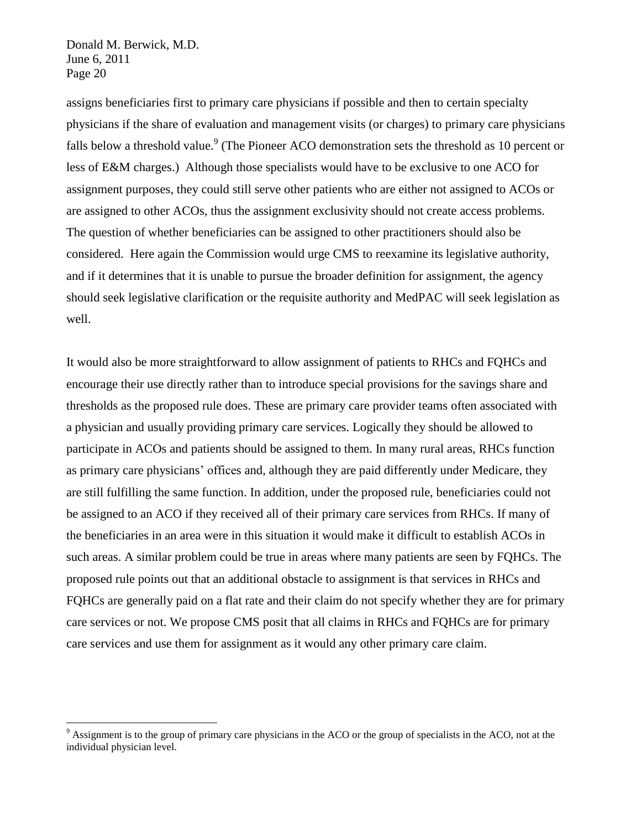<u>.</u>

assigns beneficiaries first to primary care physicians if possible and then to certain specialty physicians if the share of evaluation and management visits (or charges) to primary care physicians falls below a threshold value.<sup>9</sup> (The Pioneer ACO demonstration sets the threshold as 10 percent or less of E&M charges.) Although those specialists would have to be exclusive to one ACO for assignment purposes, they could still serve other patients who are either not assigned to ACOs or are assigned to other ACOs, thus the assignment exclusivity should not create access problems. The question of whether beneficiaries can be assigned to other practitioners should also be considered. Here again the Commission would urge CMS to reexamine its legislative authority, and if it determines that it is unable to pursue the broader definition for assignment, the agency should seek legislative clarification or the requisite authority and MedPAC will seek legislation as well.

It would also be more straightforward to allow assignment of patients to RHCs and FQHCs and encourage their use directly rather than to introduce special provisions for the savings share and thresholds as the proposed rule does. These are primary care provider teams often associated with a physician and usually providing primary care services. Logically they should be allowed to participate in ACOs and patients should be assigned to them. In many rural areas, RHCs function as primary care physicians' offices and, although they are paid differently under Medicare, they are still fulfilling the same function. In addition, under the proposed rule, beneficiaries could not be assigned to an ACO if they received all of their primary care services from RHCs. If many of the beneficiaries in an area were in this situation it would make it difficult to establish ACOs in such areas. A similar problem could be true in areas where many patients are seen by FQHCs. The proposed rule points out that an additional obstacle to assignment is that services in RHCs and FQHCs are generally paid on a flat rate and their claim do not specify whether they are for primary care services or not. We propose CMS posit that all claims in RHCs and FQHCs are for primary care services and use them for assignment as it would any other primary care claim.

 $9$  Assignment is to the group of primary care physicians in the ACO or the group of specialists in the ACO, not at the individual physician level.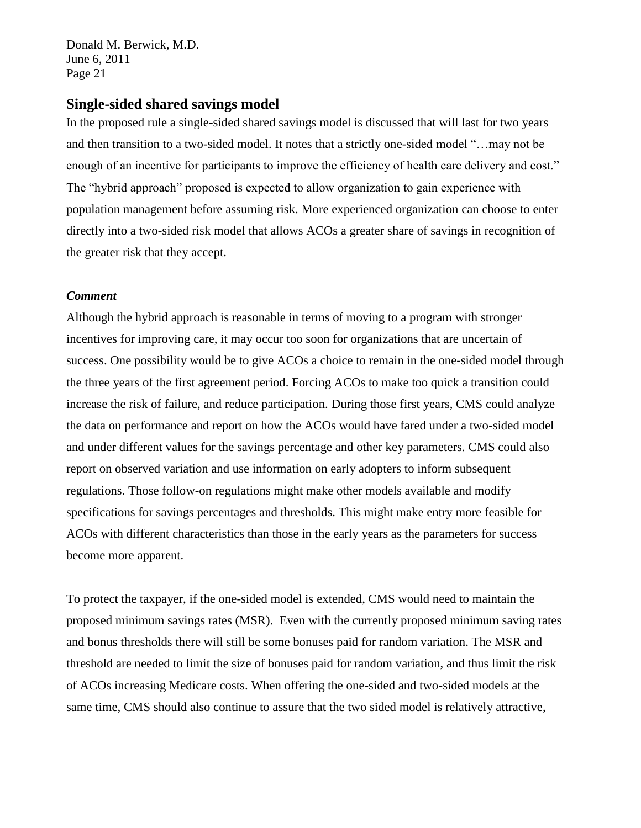## **Single-sided shared savings model**

In the proposed rule a single-sided shared savings model is discussed that will last for two years and then transition to a two-sided model. It notes that a strictly one-sided model "...may not be enough of an incentive for participants to improve the efficiency of health care delivery and cost." The "hybrid approach" proposed is expected to allow organization to gain experience with population management before assuming risk. More experienced organization can choose to enter directly into a two-sided risk model that allows ACOs a greater share of savings in recognition of the greater risk that they accept.

### *Comment*

Although the hybrid approach is reasonable in terms of moving to a program with stronger incentives for improving care, it may occur too soon for organizations that are uncertain of success. One possibility would be to give ACOs a choice to remain in the one-sided model through the three years of the first agreement period. Forcing ACOs to make too quick a transition could increase the risk of failure, and reduce participation. During those first years, CMS could analyze the data on performance and report on how the ACOs would have fared under a two-sided model and under different values for the savings percentage and other key parameters. CMS could also report on observed variation and use information on early adopters to inform subsequent regulations. Those follow-on regulations might make other models available and modify specifications for savings percentages and thresholds. This might make entry more feasible for ACOs with different characteristics than those in the early years as the parameters for success become more apparent.

To protect the taxpayer, if the one-sided model is extended, CMS would need to maintain the proposed minimum savings rates (MSR). Even with the currently proposed minimum saving rates and bonus thresholds there will still be some bonuses paid for random variation. The MSR and threshold are needed to limit the size of bonuses paid for random variation, and thus limit the risk of ACOs increasing Medicare costs. When offering the one-sided and two-sided models at the same time, CMS should also continue to assure that the two sided model is relatively attractive,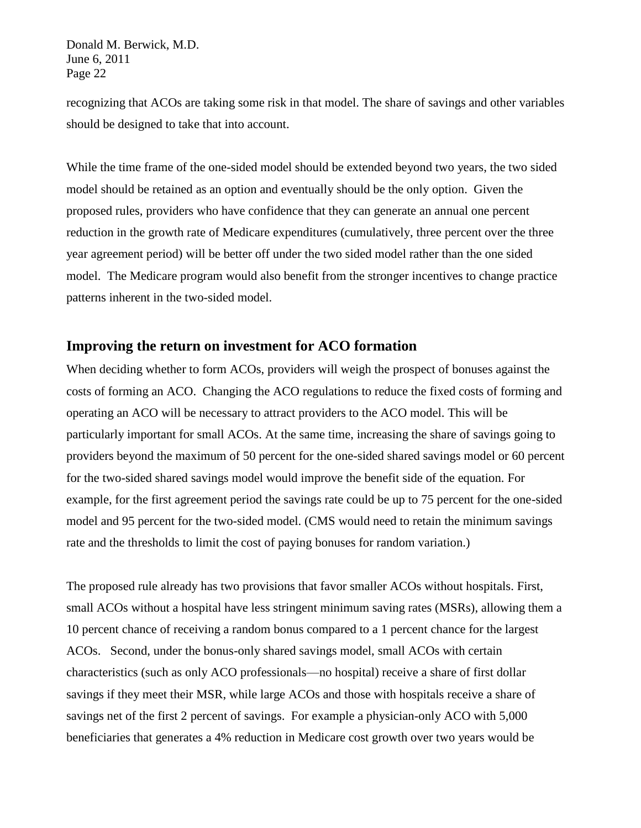recognizing that ACOs are taking some risk in that model. The share of savings and other variables should be designed to take that into account.

While the time frame of the one-sided model should be extended beyond two years, the two sided model should be retained as an option and eventually should be the only option. Given the proposed rules, providers who have confidence that they can generate an annual one percent reduction in the growth rate of Medicare expenditures (cumulatively, three percent over the three year agreement period) will be better off under the two sided model rather than the one sided model. The Medicare program would also benefit from the stronger incentives to change practice patterns inherent in the two-sided model.

### **Improving the return on investment for ACO formation**

When deciding whether to form ACOs, providers will weigh the prospect of bonuses against the costs of forming an ACO. Changing the ACO regulations to reduce the fixed costs of forming and operating an ACO will be necessary to attract providers to the ACO model. This will be particularly important for small ACOs. At the same time, increasing the share of savings going to providers beyond the maximum of 50 percent for the one-sided shared savings model or 60 percent for the two-sided shared savings model would improve the benefit side of the equation. For example, for the first agreement period the savings rate could be up to 75 percent for the one-sided model and 95 percent for the two-sided model. (CMS would need to retain the minimum savings rate and the thresholds to limit the cost of paying bonuses for random variation.)

The proposed rule already has two provisions that favor smaller ACOs without hospitals. First, small ACOs without a hospital have less stringent minimum saving rates (MSRs), allowing them a 10 percent chance of receiving a random bonus compared to a 1 percent chance for the largest ACOs. Second, under the bonus-only shared savings model, small ACOs with certain characteristics (such as only ACO professionals—no hospital) receive a share of first dollar savings if they meet their MSR, while large ACOs and those with hospitals receive a share of savings net of the first 2 percent of savings. For example a physician-only ACO with 5,000 beneficiaries that generates a 4% reduction in Medicare cost growth over two years would be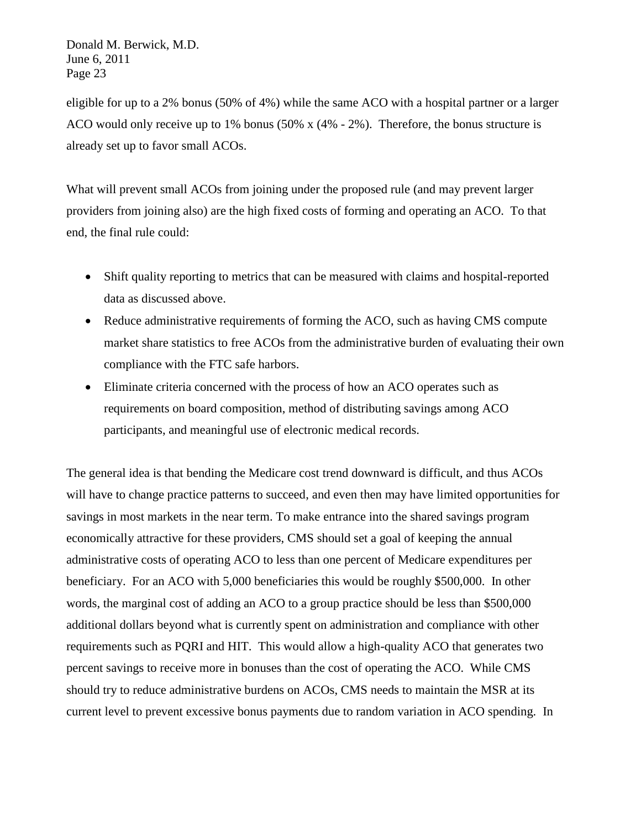eligible for up to a 2% bonus (50% of 4%) while the same ACO with a hospital partner or a larger ACO would only receive up to 1% bonus (50% x (4% - 2%). Therefore, the bonus structure is already set up to favor small ACOs.

What will prevent small ACOs from joining under the proposed rule (and may prevent larger providers from joining also) are the high fixed costs of forming and operating an ACO. To that end, the final rule could:

- Shift quality reporting to metrics that can be measured with claims and hospital-reported data as discussed above.
- Reduce administrative requirements of forming the ACO, such as having CMS compute market share statistics to free ACOs from the administrative burden of evaluating their own compliance with the FTC safe harbors.
- Eliminate criteria concerned with the process of how an ACO operates such as requirements on board composition, method of distributing savings among ACO participants, and meaningful use of electronic medical records.

The general idea is that bending the Medicare cost trend downward is difficult, and thus ACOs will have to change practice patterns to succeed, and even then may have limited opportunities for savings in most markets in the near term. To make entrance into the shared savings program economically attractive for these providers, CMS should set a goal of keeping the annual administrative costs of operating ACO to less than one percent of Medicare expenditures per beneficiary. For an ACO with 5,000 beneficiaries this would be roughly \$500,000. In other words, the marginal cost of adding an ACO to a group practice should be less than \$500,000 additional dollars beyond what is currently spent on administration and compliance with other requirements such as PQRI and HIT. This would allow a high-quality ACO that generates two percent savings to receive more in bonuses than the cost of operating the ACO. While CMS should try to reduce administrative burdens on ACOs, CMS needs to maintain the MSR at its current level to prevent excessive bonus payments due to random variation in ACO spending. In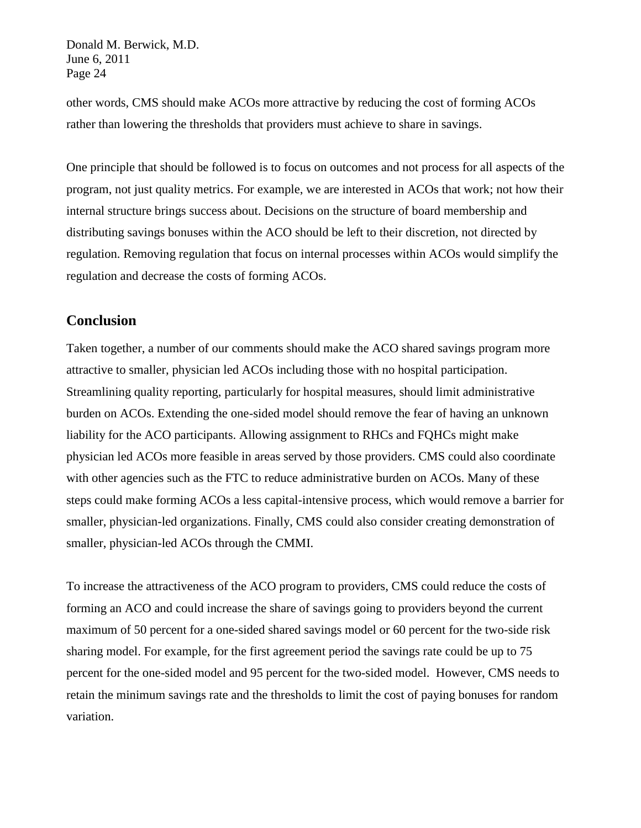other words, CMS should make ACOs more attractive by reducing the cost of forming ACOs rather than lowering the thresholds that providers must achieve to share in savings.

One principle that should be followed is to focus on outcomes and not process for all aspects of the program, not just quality metrics. For example, we are interested in ACOs that work; not how their internal structure brings success about. Decisions on the structure of board membership and distributing savings bonuses within the ACO should be left to their discretion, not directed by regulation. Removing regulation that focus on internal processes within ACOs would simplify the regulation and decrease the costs of forming ACOs.

# **Conclusion**

Taken together, a number of our comments should make the ACO shared savings program more attractive to smaller, physician led ACOs including those with no hospital participation. Streamlining quality reporting, particularly for hospital measures, should limit administrative burden on ACOs. Extending the one-sided model should remove the fear of having an unknown liability for the ACO participants. Allowing assignment to RHCs and FQHCs might make physician led ACOs more feasible in areas served by those providers. CMS could also coordinate with other agencies such as the FTC to reduce administrative burden on ACOs. Many of these steps could make forming ACOs a less capital-intensive process, which would remove a barrier for smaller, physician-led organizations. Finally, CMS could also consider creating demonstration of smaller, physician-led ACOs through the CMMI.

To increase the attractiveness of the ACO program to providers, CMS could reduce the costs of forming an ACO and could increase the share of savings going to providers beyond the current maximum of 50 percent for a one-sided shared savings model or 60 percent for the two-side risk sharing model. For example, for the first agreement period the savings rate could be up to 75 percent for the one-sided model and 95 percent for the two-sided model. However, CMS needs to retain the minimum savings rate and the thresholds to limit the cost of paying bonuses for random variation.